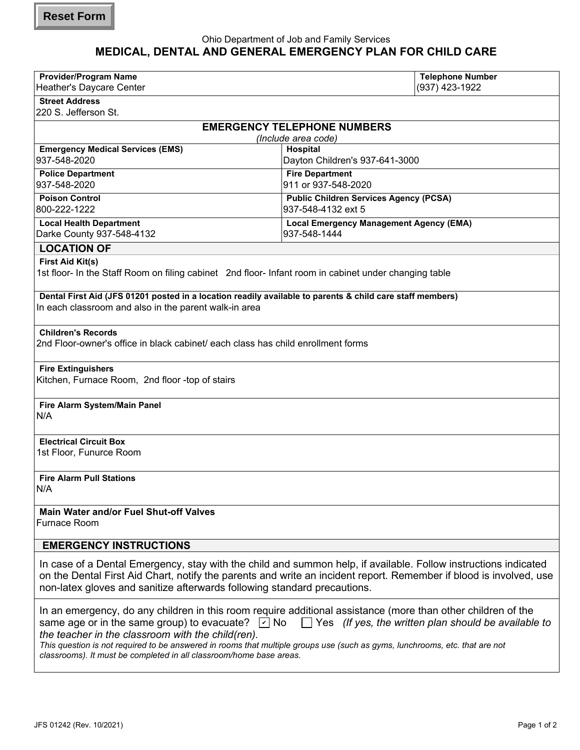## Ohio Department of Job and Family Services **MEDICAL, DENTAL AND GENERAL EMERGENCY PLAN FOR CHILD CARE**

| <b>Provider/Program Name</b>                                                                                                                                                                   |                                                | <b>Telephone Number</b> |
|------------------------------------------------------------------------------------------------------------------------------------------------------------------------------------------------|------------------------------------------------|-------------------------|
| Heather's Daycare Center                                                                                                                                                                       |                                                | (937) 423-1922          |
| <b>Street Address</b>                                                                                                                                                                          |                                                |                         |
| 220 S. Jefferson St.                                                                                                                                                                           |                                                |                         |
| <b>EMERGENCY TELEPHONE NUMBERS</b>                                                                                                                                                             |                                                |                         |
| (Include area code)                                                                                                                                                                            |                                                |                         |
| <b>Emergency Medical Services (EMS)</b>                                                                                                                                                        | Hospital                                       |                         |
| 937-548-2020                                                                                                                                                                                   | Dayton Children's 937-641-3000                 |                         |
| <b>Police Department</b>                                                                                                                                                                       | <b>Fire Department</b>                         |                         |
| 937-548-2020                                                                                                                                                                                   | 911 or 937-548-2020                            |                         |
| <b>Poison Control</b>                                                                                                                                                                          | <b>Public Children Services Agency (PCSA)</b>  |                         |
| 800-222-1222                                                                                                                                                                                   | 937-548-4132 ext 5                             |                         |
| <b>Local Health Department</b>                                                                                                                                                                 | <b>Local Emergency Management Agency (EMA)</b> |                         |
| Darke County 937-548-4132                                                                                                                                                                      | 937-548-1444                                   |                         |
| <b>LOCATION OF</b>                                                                                                                                                                             |                                                |                         |
| First Aid Kit(s)                                                                                                                                                                               |                                                |                         |
| 1st floor- In the Staff Room on filing cabinet 2nd floor- Infant room in cabinet under changing table                                                                                          |                                                |                         |
|                                                                                                                                                                                                |                                                |                         |
| Dental First Aid (JFS 01201 posted in a location readily available to parents & child care staff members)                                                                                      |                                                |                         |
| In each classroom and also in the parent walk-in area                                                                                                                                          |                                                |                         |
|                                                                                                                                                                                                |                                                |                         |
| <b>Children's Records</b>                                                                                                                                                                      |                                                |                         |
| 2nd Floor-owner's office in black cabinet/ each class has child enrollment forms                                                                                                               |                                                |                         |
|                                                                                                                                                                                                |                                                |                         |
| <b>Fire Extinguishers</b>                                                                                                                                                                      |                                                |                         |
| Kitchen, Furnace Room, 2nd floor -top of stairs                                                                                                                                                |                                                |                         |
|                                                                                                                                                                                                |                                                |                         |
| Fire Alarm System/Main Panel<br>N/A                                                                                                                                                            |                                                |                         |
|                                                                                                                                                                                                |                                                |                         |
|                                                                                                                                                                                                |                                                |                         |
| <b>Electrical Circuit Box</b><br>1st Floor, Funurce Room                                                                                                                                       |                                                |                         |
|                                                                                                                                                                                                |                                                |                         |
|                                                                                                                                                                                                |                                                |                         |
| <b>Fire Alarm Pull Stations</b><br>N/A                                                                                                                                                         |                                                |                         |
|                                                                                                                                                                                                |                                                |                         |
| Main Water and/or Fuel Shut-off Valves                                                                                                                                                         |                                                |                         |
| Furnace Room                                                                                                                                                                                   |                                                |                         |
|                                                                                                                                                                                                |                                                |                         |
| <b>EMERGENCY INSTRUCTIONS</b>                                                                                                                                                                  |                                                |                         |
|                                                                                                                                                                                                |                                                |                         |
| In case of a Dental Emergency, stay with the child and summon help, if available. Follow instructions indicated                                                                                |                                                |                         |
| on the Dental First Aid Chart, notify the parents and write an incident report. Remember if blood is involved, use<br>non-latex gloves and sanitize afterwards following standard precautions. |                                                |                         |
|                                                                                                                                                                                                |                                                |                         |
| In an emergency, do any children in this room require additional assistance (more than other children of the                                                                                   |                                                |                         |
| $\sqrt{2}$ No<br>Yes (If yes, the written plan should be available to<br>same age or in the same group) to evacuate?                                                                           |                                                |                         |
| the teacher in the classroom with the child(ren).                                                                                                                                              |                                                |                         |
| This question is not required to be answered in rooms that multiple groups use (such as gyms, lunchrooms, etc. that are not                                                                    |                                                |                         |
| classrooms). It must be completed in all classroom/home base areas.                                                                                                                            |                                                |                         |